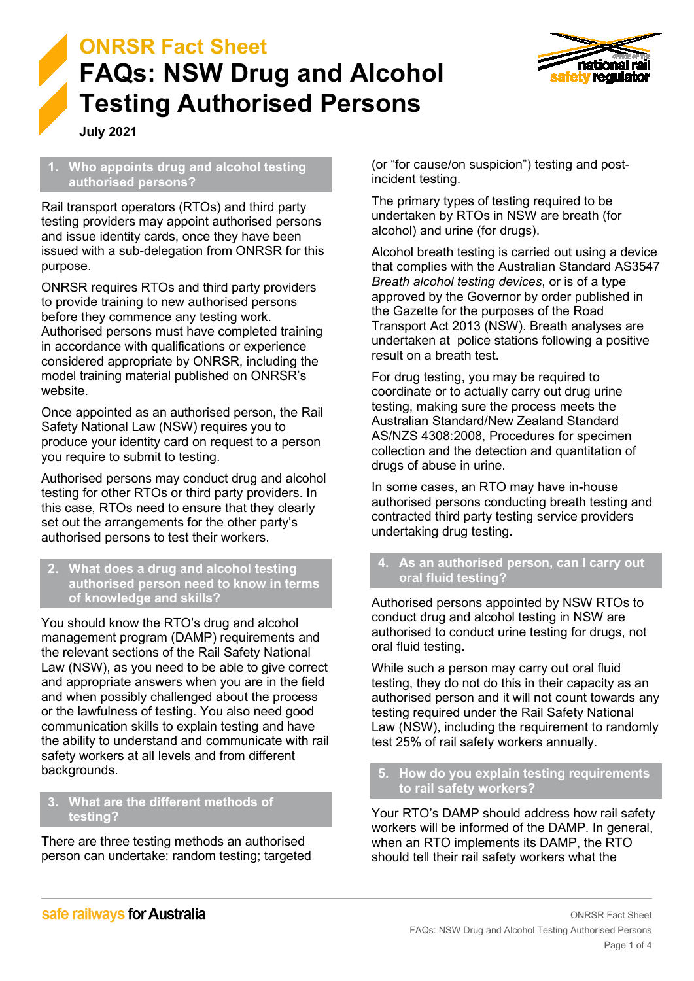



**July 2021**

#### **1. Who appoints drug and alcohol testing authorised persons?**

Rail transport operators (RTOs) and third party testing providers may appoint authorised persons and issue identity cards, once they have been issued with a sub-delegation from ONRSR for this purpose.

ONRSR requires RTOs and third party providers to provide training to new authorised persons before they commence any testing work. Authorised persons must have completed training in accordance with qualifications or experience considered appropriate by ONRSR, including the model training material published on ONRSR's website.

Once appointed as an authorised person, the Rail Safety National Law (NSW) requires you to produce your identity card on request to a person you require to submit to testing.

Authorised persons may conduct drug and alcohol testing for other RTOs or third party providers. In this case, RTOs need to ensure that they clearly set out the arrangements for the other party's authorised persons to test their workers.

#### **2. What does a drug and alcohol testing authorised person need to know in terms of knowledge and skills?**

You should know the RTO's drug and alcohol management program (DAMP) requirements and the relevant sections of the Rail Safety National Law (NSW), as you need to be able to give correct and appropriate answers when you are in the field and when possibly challenged about the process or the lawfulness of testing. You also need good communication skills to explain testing and have the ability to understand and communicate with rail safety workers at all levels and from different backgrounds.

## **3. What are the different methods of testing?**

There are three testing methods an authorised person can undertake: random testing; targeted (or "for cause/on suspicion") testing and postincident testing.

The primary types of testing required to be undertaken by RTOs in NSW are breath (for alcohol) and urine (for drugs).

Alcohol breath testing is carried out using a device that complies with the Australian Standard AS3547 *Breath alcohol testing devices*, or is of a type approved by the Governor by order published in the Gazette for the purposes of the Road Transport Act 2013 (NSW). Breath analyses are undertaken at police stations following a positive result on a breath test.

For drug testing, you may be required to coordinate or to actually carry out drug urine testing, making sure the process meets the Australian Standard/New Zealand Standard AS/NZS 4308:2008, Procedures for specimen collection and the detection and quantitation of drugs of abuse in urine.

In some cases, an RTO may have in-house authorised persons conducting breath testing and contracted third party testing service providers undertaking drug testing.

## **4. As an authorised person, can I carry out oral fluid testing?**

Authorised persons appointed by NSW RTOs to conduct drug and alcohol testing in NSW are authorised to conduct urine testing for drugs, not oral fluid testing.

While such a person may carry out oral fluid testing, they do not do this in their capacity as an authorised person and it will not count towards any testing required under the Rail Safety National Law (NSW), including the requirement to randomly test 25% of rail safety workers annually.

**5. How do you explain testing requirements to rail safety workers?**

Your RTO's DAMP should address how rail safety workers will be informed of the DAMP. In general, when an RTO implements its DAMP, the RTO should tell their rail safety workers what the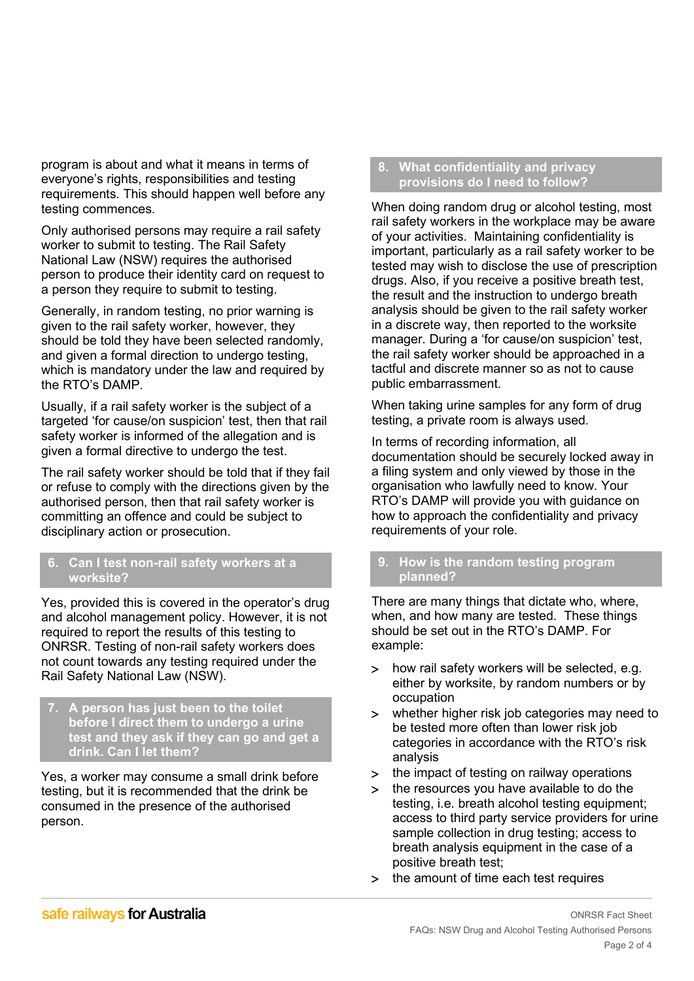program is about and what it means in terms of everyone's rights, responsibilities and testing requirements. This should happen well before any testing commences.

Only authorised persons may require a rail safety worker to submit to testing. The Rail Safety National Law (NSW) requires the authorised person to produce their identity card on request to a person they require to submit to testing.

Generally, in random testing, no prior warning is given to the rail safety worker, however, they should be told they have been selected randomly, and given a formal direction to undergo testing, which is mandatory under the law and required by the RTO's DAMP.

Usually, if a rail safety worker is the subject of a targeted 'for cause/on suspicion' test, then that rail safety worker is informed of the allegation and is given a formal directive to undergo the test.

The rail safety worker should be told that if they fail or refuse to comply with the directions given by the authorised person, then that rail safety worker is committing an offence and could be subject to disciplinary action or prosecution.

### **6. Can I test non-rail safety workers at a worksite?**

Yes, provided this is covered in the operator's drug and alcohol management policy. However, it is not required to report the results of this testing to ONRSR. Testing of non-rail safety workers does not count towards any testing required under the Rail Safety National Law (NSW).

**7. A person has just been to the toilet before I direct them to undergo a urine test and they ask if they can go and get a drink. Can I let them?**

Yes, a worker may consume a small drink before testing, but it is recommended that the drink be consumed in the presence of the authorised person.

### **8. What confidentiality and privacy provisions do I need to follow?**

When doing random drug or alcohol testing, most rail safety workers in the workplace may be aware of your activities. Maintaining confidentiality is important, particularly as a rail safety worker to be tested may wish to disclose the use of prescription drugs. Also, if you receive a positive breath test, the result and the instruction to undergo breath analysis should be given to the rail safety worker in a discrete way, then reported to the worksite manager. During a 'for cause/on suspicion' test, the rail safety worker should be approached in a tactful and discrete manner so as not to cause public embarrassment.

When taking urine samples for any form of drug testing, a private room is always used.

In terms of recording information, all documentation should be securely locked away in a filing system and only viewed by those in the organisation who lawfully need to know. Your RTO's DAMP will provide you with guidance on how to approach the confidentiality and privacy requirements of your role.

## **9. How is the random testing program planned?**

There are many things that dictate who, where, when, and how many are tested. These things should be set out in the RTO's DAMP. For example:

- > how rail safety workers will be selected, e.g. either by worksite, by random numbers or by occupation
- > whether higher risk job categories may need to be tested more often than lower risk job categories in accordance with the RTO's risk analysis
- > the impact of testing on railway operations
- > the resources you have available to do the testing, i.e. breath alcohol testing equipment; access to third party service providers for urine sample collection in drug testing; access to breath analysis equipment in the case of a positive breath test;
- > the amount of time each test requires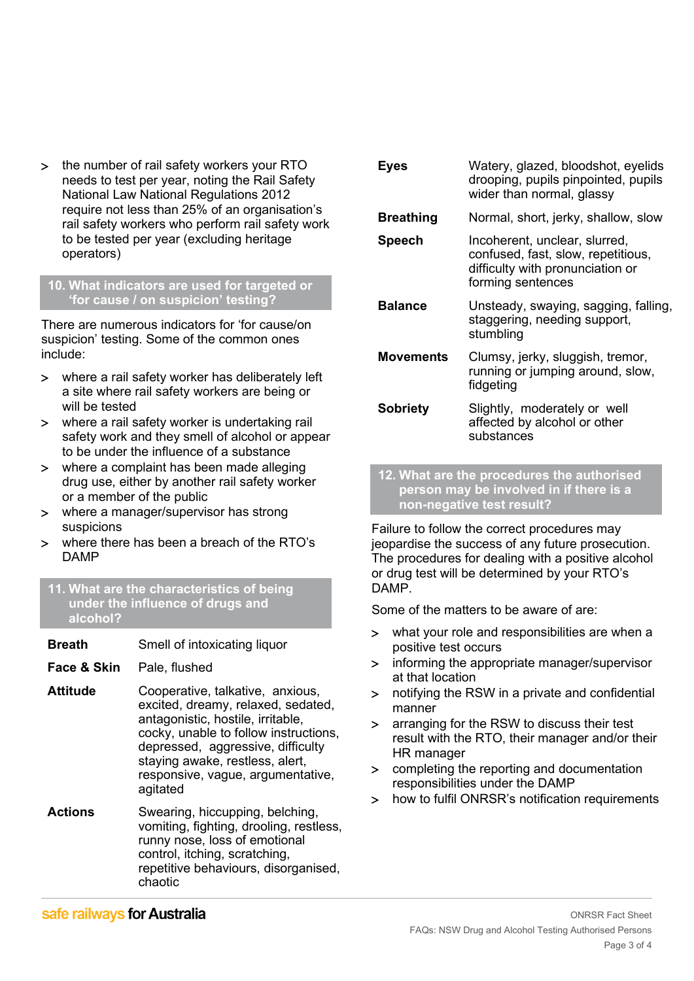> the number of rail safety workers your RTO needs to test per year, noting the Rail Safety National Law National Regulations 2012 require not less than 25% of an organisation's rail safety workers who perform rail safety work to be tested per year (excluding heritage operators)

#### **10. What indicators are used for targeted or 'for cause / on suspicion' testing?**

There are numerous indicators for 'for cause/on suspicion' testing. Some of the common ones include:

- > where a rail safety worker has deliberately left a site where rail safety workers are being or will be tested
- > where a rail safety worker is undertaking rail safety work and they smell of alcohol or appear to be under the influence of a substance
- > where a complaint has been made alleging drug use, either by another rail safety worker or a member of the public
- > where a manager/supervisor has strong suspicions
- > where there has been a breach of the RTO's DAMP
- **11. What are the characteristics of being under the influence of drugs and alcohol?**
- **Breath** Smell of intoxicating liquor
- **Face & Skin** Pale, flushed
- **Attitude** Cooperative, talkative, anxious, excited, dreamy, relaxed, sedated, antagonistic, hostile, irritable, cocky, unable to follow instructions, depressed, aggressive, difficulty staying awake, restless, alert, responsive, vague, argumentative, agitated
- **Actions** Swearing, hiccupping, belching, vomiting, fighting, drooling, restless, runny nose, loss of emotional control, itching, scratching, repetitive behaviours, disorganised, chaotic

| Eyes             | Watery, glazed, bloodshot, eyelids<br>drooping, pupils pinpointed, pupils<br>wider than normal, glassy                       |
|------------------|------------------------------------------------------------------------------------------------------------------------------|
| <b>Breathing</b> | Normal, short, jerky, shallow, slow                                                                                          |
| <b>Speech</b>    | Incoherent, unclear, slurred,<br>confused, fast, slow, repetitious,<br>difficulty with pronunciation or<br>forming sentences |
| <b>Balance</b>   | Unsteady, swaying, sagging, falling,<br>staggering, needing support,<br>stumbling                                            |
| <b>Movements</b> | Clumsy, jerky, sluggish, tremor,<br>running or jumping around, slow,<br>fidgeting                                            |
| <b>Sobriety</b>  | Slightly, moderately or well<br>affected by alcohol or other<br>substances                                                   |

**12. What are the procedures the authorised person may be involved in if there is a non-negative test result?**

Failure to follow the correct procedures may jeopardise the success of any future prosecution. The procedures for dealing with a positive alcohol or drug test will be determined by your RTO's DAMP.

Some of the matters to be aware of are:

- > what your role and responsibilities are when a positive test occurs
- > informing the appropriate manager/supervisor at that location
- > notifying the RSW in a private and confidential manner
- > arranging for the RSW to discuss their test result with the RTO, their manager and/or their HR manager
- > completing the reporting and documentation responsibilities under the DAMP
- > how to fulfil ONRSR's notification requirements